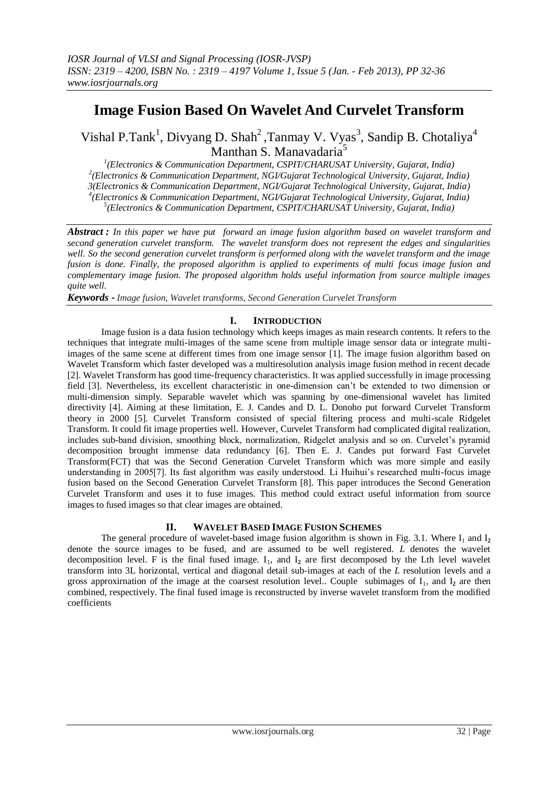# **Image Fusion Based On Wavelet And Curvelet Transform**

Vishal P.Tank<sup>1</sup>, Divyang D. Shah<sup>2</sup>, Tanmay V. Vyas<sup>3</sup>, Sandip B. Chotaliya<sup>4</sup> Manthan S. Manavadaria<sup>5</sup>

 *(Electronics & Communication Department, CSPIT/CHARUSAT University, Gujarat, India) (Electronics & Communication Department, NGI/Gujarat Technological University, Gujarat, India) 3(Electronics & Communication Department, NGI/Gujarat Technological University, Gujarat, India) (Electronics & Communication Department, NGI/Gujarat Technological University, Gujarat, India) (Electronics & Communication Department, CSPIT/CHARUSAT University, Gujarat, India)*

*Abstract : In this paper we have put forward an image fusion algorithm based on wavelet transform and second generation curvelet transform. The wavelet transform does not represent the edges and singularities well. So the second generation curvelet transform is performed along with the wavelet transform and the image fusion is done. Finally, the proposed algorithm is applied to experiments of multi focus image fusion and complementary image fusion. The proposed algorithm holds useful information from source multiple images quite well.*

*Keywords - Image fusion, Wavelet transforms, Second Generation Curvelet Transform*

## **I. INTRODUCTION**

Image fusion is a data fusion technology which keeps images as main research contents. It refers to the techniques that integrate multi-images of the same scene from multiple image sensor data or integrate multiimages of the same scene at different times from one image sensor [1]. The image fusion algorithm based on Wavelet Transform which faster developed was a multiresolution analysis image fusion method in recent decade [2]. Wavelet Transform has good time-frequency characteristics. It was applied successfully in image processing field [3]. Nevertheless, its excellent characteristic in one-dimension can't be extended to two dimension or multi-dimension simply. Separable wavelet which was spanning by one-dimensional wavelet has limited directivity [4]. Aiming at these limitation, E. J. Candes and D. L. Donoho put forward Curvelet Transform theory in 2000 [5]. Curvelet Transform consisted of special filtering process and multi-scale Ridgelet Transform. It could fit image properties well. However, Curvelet Transform had complicated digital realization, includes sub-band division, smoothing block, normalization, Ridgelet analysis and so on. Curvelet's pyramid decomposition brought immense data redundancy [6]. Then E. J. Candes put forward Fast Curvelet Transform(FCT) that was the Second Generation Curvelet Transform which was more simple and easily understanding in 2005[7]. Its fast algorithm was easily understood. Li Huihui's researched multi-focus image fusion based on the Second Generation Curvelet Transform [8]. This paper introduces the Second Generation Curvelet Transform and uses it to fuse images. This method could extract useful information from source images to fused images so that clear images are obtained.

## **II. WAVELET BASED IMAGE FUSION SCHEMES**

The general procedure of wavelet-based image fusion algorithm is shown in Fig. 3.1. Where  $I_1$  and  $I_2$ denote the source images to be fused, and are assumed to be well registered. *L* denotes the wavelet decomposition level. F is the final fused image.  $I_1$ , and  $I_2$  are first decomposed by the Lth level wavelet transform into 3L horizontal, vertical and diagonal detail sub-images at each of the *L* resolution levels and a gross approximation of the image at the coarsest resolution level.. Couple subimages of  $I_1$ , and  $I_2$  are then combined, respectively. The final fused image is reconstructed by inverse wavelet transform from the modified coefficients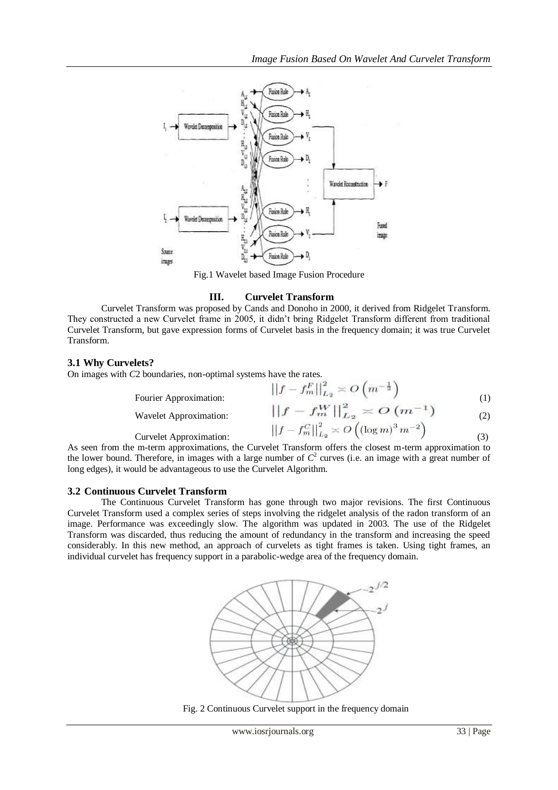

Fig.1 Wavelet based Image Fusion Procedure

### **III. Curvelet Transform**

Curvelet Transform was proposed by Cands and Donoho in 2000, it derived from Ridgelet Transform. They constructed a new Curvelet frame in 2005, it didn't bring Ridgelet Transform different from traditional Curvelet Transform, but gave expression forms of Curvelet basis in the frequency domain; it was true Curvelet Transform.

## **3.1 Why Curvelets?**

On images with *C*2 boundaries, non-optimal systems have the rates.  $E12$ 

|                        | $\left \left f-f_m^F\right \right _{L_2}^2 \asymp O\left(m^{-\frac{1}{2}}\right)$                      |     |
|------------------------|--------------------------------------------------------------------------------------------------------|-----|
| Fourier Approximation: |                                                                                                        | (1) |
| Wavelet Approximation: | $  f - f_m^W  _{L_2}^2 \asymp O(m^{-1})$                                                               | (2) |
| Curvelet Approximation | $\left \left f-f_{m}^{C}\right \right ^{2}_{L_{2}} \asymp O\left(\left(\log m\right)^{3}m^{-2}\right)$ |     |

Curvelet Approximation:(3) As seen from the m-term approximations, the Curvelet Transform offers the closest m-term approximation to the lower bound. Therefore, in images with a large number of  $C^2$  curves (i.e. an image with a great number of long edges), it would be advantageous to use the Curvelet Algorithm.

## **3.2 Continuous Curvelet Transform**

The Continuous Curvelet Transform has gone through two major revisions. The first Continuous Curvelet Transform used a complex series of steps involving the ridgelet analysis of the radon transform of an image. Performance was exceedingly slow. The algorithm was updated in 2003. The use of the Ridgelet Transform was discarded, thus reducing the amount of redundancy in the transform and increasing the speed considerably. In this new method, an approach of curvelets as tight frames is taken. Using tight frames, an individual curvelet has frequency support in a parabolic-wedge area of the frequency domain.



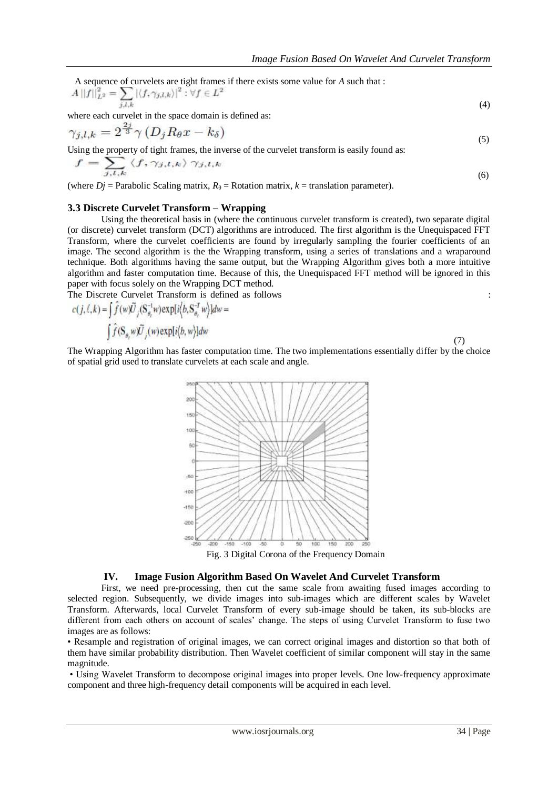A sequence of curvelets are tight frames if there exists some value for *A* such that : (4)

where each curvelet in the space domain is defined as:

$$
\gamma_{j,l,k} = 2^{\frac{2j}{3}} \gamma \left( D_j R_{\theta} x - k_{\delta} \right) \tag{5}
$$

Using the property of tight frames, the inverse of the curvelet transform is easily found as:

$$
f = \sum_{j,l,k} \langle f, \gamma_{j,l,k} \rangle \, \gamma_{j,l,k} \tag{6}
$$

(where  $Dj$  = Parabolic Scaling matrix,  $R_{\theta}$  = Rotation matrix,  $k$  = translation parameter).

#### **3.3 Discrete Curvelet Transform – Wrapping**

Using the theoretical basis in (where the continuous curvelet transform is created), two separate digital (or discrete) curvelet transform (DCT) algorithms are introduced. The first algorithm is the Unequispaced FFT Transform, where the curvelet coefficients are found by irregularly sampling the fourier coefficients of an image. The second algorithm is the the Wrapping transform, using a series of translations and a wraparound technique. Both algorithms having the same output, but the Wrapping Algorithm gives both a more intuitive algorithm and faster computation time. Because of this, the Unequispaced FFT method will be ignored in this paper with focus solely on the Wrapping DCT method.

The Discrete Curvelet Transform is defined as follows :

$$
c(j,\ell,k) = \int \hat{f}(w)\tilde{U}_j(S_{\theta_\ell}^{-1}w) \exp[i\langle b, S_{\theta_\ell}^{-T}w\rangle]dw =
$$
  

$$
\int \hat{f}(S_{\theta_\ell}w)\tilde{U}_j(w) \exp[i\langle b,w\rangle]dw
$$
 (7)

The Wrapping Algorithm has faster computation time. The two implementations essentially differ by the choice of spatial grid used to translate curvelets at each scale and angle.



Fig. 3 Digital Corona of the Frequency Domain

#### **IV. Image Fusion Algorithm Based On Wavelet And Curvelet Transform**

First, we need pre-processing, then cut the same scale from awaiting fused images according to selected region. Subsequently, we divide images into sub-images which are different scales by Wavelet Transform. Afterwards, local Curvelet Transform of every sub-image should be taken, its sub-blocks are different from each others on account of scales' change. The steps of using Curvelet Transform to fuse two images are as follows:

• Resample and registration of original images, we can correct original images and distortion so that both of them have similar probability distribution. Then Wavelet coefficient of similar component will stay in the same magnitude.

• Using Wavelet Transform to decompose original images into proper levels. One low-frequency approximate component and three high-frequency detail components will be acquired in each level.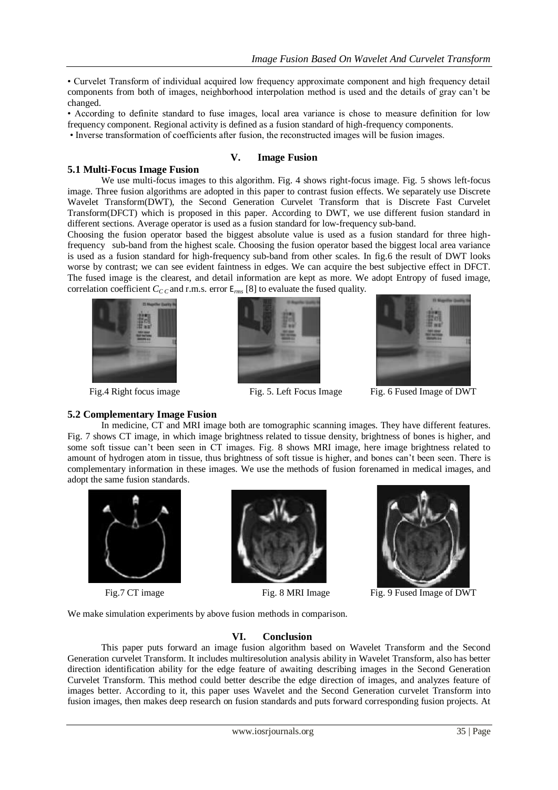• Curvelet Transform of individual acquired low frequency approximate component and high frequency detail components from both of images, neighborhood interpolation method is used and the details of gray can't be changed.

• According to definite standard to fuse images, local area variance is chose to measure definition for low frequency component. Regional activity is defined as a fusion standard of high-frequency components.

• Inverse transformation of coefficients after fusion, the reconstructed images will be fusion images.

#### **V. Image Fusion 5.1 Multi-Focus Image Fusion**

We use multi-focus images to this algorithm. Fig. 4 shows right-focus image. Fig. 5 shows left-focus image. Three fusion algorithms are adopted in this paper to contrast fusion effects. We separately use Discrete Wavelet Transform(DWT), the Second Generation Curvelet Transform that is Discrete Fast Curvelet Transform(DFCT) which is proposed in this paper. According to DWT, we use different fusion standard in different sections. Average operator is used as a fusion standard for low-frequency sub-band.

Choosing the fusion operator based the biggest absolute value is used as a fusion standard for three highfrequency sub-band from the highest scale. Choosing the fusion operator based the biggest local area variance is used as a fusion standard for high-frequency sub-band from other scales. In fig.6 the result of DWT looks worse by contrast; we can see evident faintness in edges. We can acquire the best subjective effect in DFCT. The fused image is the clearest, and detail information are kept as more. We adopt Entropy of fused image, correlation coefficient  $C_{C,C}$  and r.m.s. error  $E_{rms}$  [8] to evaluate the fused quality.







Fig. 4 Right focus image Fig. 5. Left Focus Image Fig. 6 Fused Image of DWT

#### **5.2 Complementary Image Fusion**

In medicine, CT and MRI image both are tomographic scanning images. They have different features. Fig. 7 shows CT image, in which image brightness related to tissue density, brightness of bones is higher, and some soft tissue can't been seen in CT images. Fig. 8 shows MRI image, here image brightness related to amount of hydrogen atom in tissue, thus brightness of soft tissue is higher, and bones can't been seen. There is complementary information in these images. We use the methods of fusion forenamed in medical images, and adopt the same fusion standards.







Fig. 7 CT image Fig. 8 MRI Image Fig. 9 Fused Image of DWT

We make simulation experiments by above fusion methods in comparison.

## **VI. Conclusion**

This paper puts forward an image fusion algorithm based on Wavelet Transform and the Second Generation curvelet Transform. It includes multiresolution analysis ability in Wavelet Transform, also has better direction identification ability for the edge feature of awaiting describing images in the Second Generation Curvelet Transform. This method could better describe the edge direction of images, and analyzes feature of images better. According to it, this paper uses Wavelet and the Second Generation curvelet Transform into fusion images, then makes deep research on fusion standards and puts forward corresponding fusion projects. At